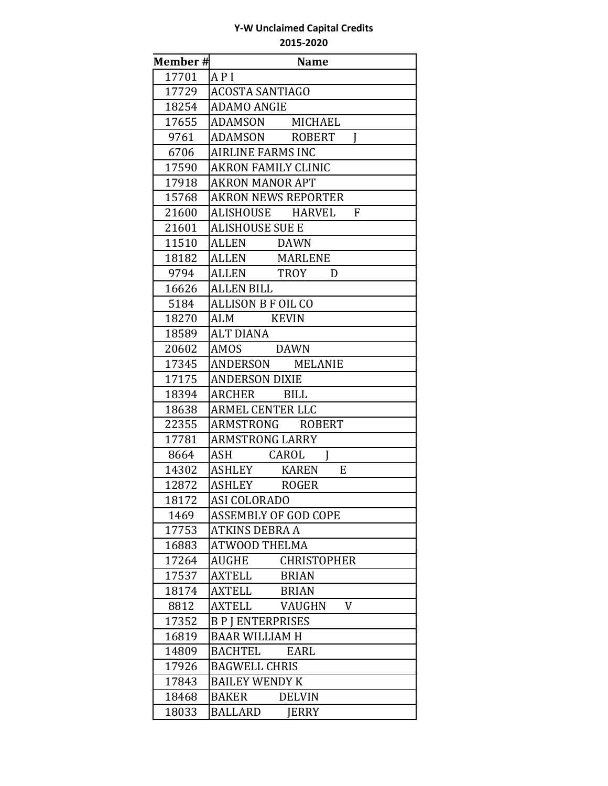| Member# | <b>Name</b>                    |
|---------|--------------------------------|
| 17701   | API                            |
| 17729   | <b>ACOSTA SANTIAGO</b>         |
| 18254   | <b>ADAMO ANGIE</b>             |
| 17655   | ADAMSON MICHAEL                |
| 9761    | ADAMSON ROBERT<br>I            |
| 6706    | <b>AIRLINE FARMS INC</b>       |
| 17590   | <b>AKRON FAMILY CLINIC</b>     |
| 17918   | <b>AKRON MANOR APT</b>         |
| 15768   | <b>AKRON NEWS REPORTER</b>     |
| 21600   | ALISHOUSE HARVEL<br>F          |
| 21601   | <b>ALISHOUSE SUE E</b>         |
| 11510   | ALLEN<br>DAWN                  |
| 18182   | ALLEN<br>MARLENE               |
| 9794    | ALLEN TROY<br>D                |
| 16626   | <b>ALLEN BILL</b>              |
| 5184    | ALLISON B F OIL CO             |
| 18270   | ALM<br><b>KEVIN</b>            |
| 18589   | ALT DIANA                      |
| 20602   | AMOS DAWN                      |
| 17345   | ANDERSON MELANIE               |
| 17175   | <b>ANDERSON DIXIE</b>          |
| 18394   | ARCHER<br><b>BILL</b>          |
| 18638   | <b>ARMEL CENTER LLC</b>        |
| 22355   | ARMSTRONG ROBERT               |
| 17781   | <b>ARMSTRONG LARRY</b>         |
| 8664    | CAROL<br>ASH<br>I              |
| 14302   | E<br>ASHLEY KAREN              |
| 12872   | ASHLEY ROGER                   |
| 18172   | ASI COLORADO                   |
| 1469    | <b>ASSEMBLY OF GOD COPE</b>    |
| 17753   | <b>ATKINS DEBRA A</b>          |
| 16883   | <b>ATWOOD THELMA</b>           |
| 17264   | AUGHE<br><b>CHRISTOPHER</b>    |
| 17537   | <b>AXTELL</b><br><b>BRIAN</b>  |
| 18174   | AXTELL<br>BRIAN                |
| 8812    | V<br>AXTELL<br>VAUGHN          |
| 17352   | <b>BPIENTERPRISES</b>          |
| 16819   | <b>BAAR WILLIAM H</b>          |
| 14809   | <b>BACHTEL</b><br><b>EARL</b>  |
| 17926   | <b>BAGWELL CHRIS</b>           |
| 17843   | <b>BAILEY WENDY K</b>          |
| 18468   | <b>DELVIN</b><br><b>BAKER</b>  |
| 18033   | <b>BALLARD</b><br><b>JERRY</b> |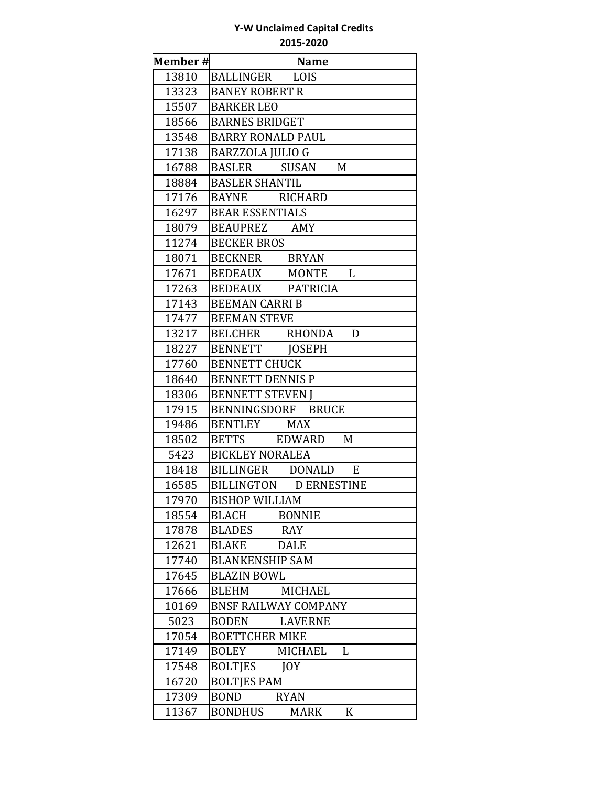| <b>Member#</b> | <b>Name</b>                        |
|----------------|------------------------------------|
| 13810          | BALLINGER LOIS                     |
| 13323          | <b>BANEY ROBERT R</b>              |
| 15507          | <b>BARKER LEO</b>                  |
| 18566          | <b>BARNES BRIDGET</b>              |
| 13548          | <b>BARRY RONALD PAUL</b>           |
| 17138          | <b>BARZZOLA JULIO G</b>            |
| 16788          | BASLER SUSAN<br>M                  |
| 18884          | <b>BASLER SHANTIL</b>              |
| 17176          | BAYNE RICHARD                      |
| 16297          | <b>BEAR ESSENTIALS</b>             |
| 18079          | BEAUPREZ AMY                       |
| 11274          | <b>BECKER BROS</b>                 |
| 18071          | BECKNER BRYAN                      |
| 17671          | BEDEAUX MONTE<br>L                 |
| 17263          | BEDEAUX PATRICIA                   |
| 17143          | <b>BEEMAN CARRI B</b>              |
| 17477          | <b>BEEMAN STEVE</b>                |
| 13217          | BELCHER RHONDA D                   |
| 18227          | BENNETT JOSEPH                     |
| 17760          | <b>BENNETT CHUCK</b>               |
| 18640          | <b>BENNETT DENNIS P</b>            |
| 18306          | <b>BENNETT STEVEN I</b>            |
| 17915          | BENNINGSDORF BRUCE                 |
| 19486          | BENTLEY MAX                        |
| 18502          | BETTS EDWARD<br>M                  |
| 5423           | <b>BICKLEY NORALEA</b>             |
| 18418          | E<br>BILLINGER DONALD              |
| 16585          | BILLINGTON DERNESTINE              |
| 17970          | <b>BISHOP WILLIAM</b>              |
| 18554          | <b>BONNIE</b><br><b>BLACH</b>      |
| 17878          | <b>BLADES</b><br>RAY               |
| 12621          | <b>DALE</b><br><b>BLAKE</b>        |
| 17740          | <b>BLANKENSHIP SAM</b>             |
| 17645          | <b>BLAZIN BOWL</b>                 |
| 17666          | <b>MICHAEL</b><br><b>BLEHM</b>     |
| 10169          | <b>BNSF RAILWAY COMPANY</b>        |
| 5023           | <b>BODEN</b><br><b>LAVERNE</b>     |
| 17054          | <b>BOETTCHER MIKE</b>              |
| 17149          | <b>BOLEY</b><br>MICHAEL<br>L       |
| 17548          | <b>BOLTIES</b><br>IOY              |
| 16720          | <b>BOLTJES PAM</b>                 |
| 17309          | <b>BOND</b><br><b>RYAN</b>         |
| 11367          | <b>BONDHUS</b><br><b>MARK</b><br>K |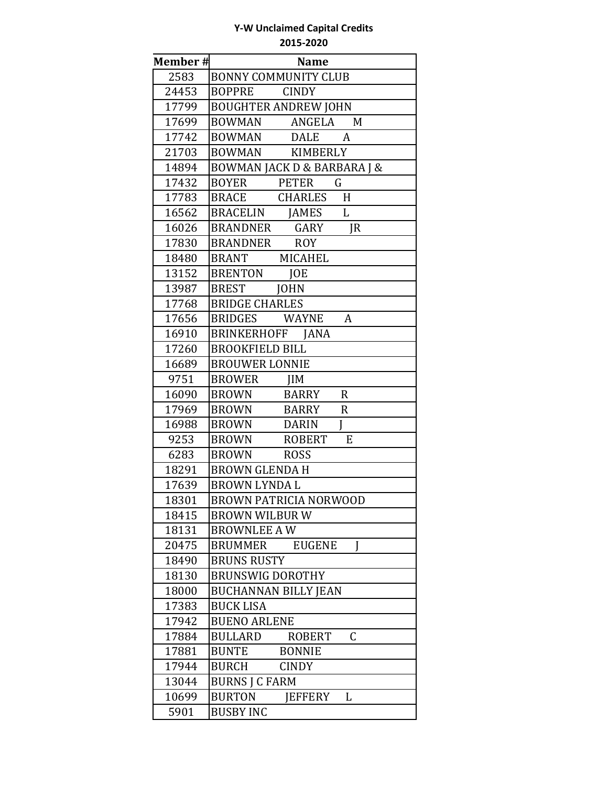| Member# | <b>Name</b>                                 |
|---------|---------------------------------------------|
| 2583    | <b>BONNY COMMUNITY CLUB</b>                 |
| 24453   | <b>CINDY</b><br>BOPPRE                      |
| 17799   | <b>BOUGHTER ANDREW JOHN</b>                 |
| 17699   | BOWMAN<br>ANGELA<br>M                       |
| 17742   | <b>BOWMAN</b><br>DALE<br>A                  |
| 21703   | BOWMAN<br>KIMBERLY                          |
| 14894   | <b>BOWMAN JACK D &amp; BARBARA J &amp;</b>  |
| 17432   | $\mathsf G$<br>BOYER PETER                  |
| 17783   | BRACE CHARLES H                             |
| 16562   | $\mathbf{L}$<br>BRACELIN JAMES              |
| 16026   | BRANDNER GARY<br>IR                         |
| 17830   | BRANDNER ROY                                |
| 18480   | BRANT MICAHEL                               |
| 13152   | <b>BRENTON</b><br><b>JOE</b>                |
| 13987   | BREST JOHN                                  |
| 17768   | <b>BRIDGE CHARLES</b>                       |
| 17656   | BRIDGES WAYNE<br>A                          |
| 16910   | BRINKERHOFF JANA                            |
| 17260   | <b>BROOKFIELD BILL</b>                      |
| 16689   | <b>BROUWER LONNIE</b>                       |
| 9751    | <b>BROWER</b><br>IIM                        |
| 16090   | <b>BROWN</b><br>$\mathbf R$<br>BARRY        |
| 17969   | <b>BROWN</b><br>$\mathbf R$<br><b>BARRY</b> |
| 16988   | J<br><b>BROWN</b><br><b>DARIN</b>           |
| 9253    | <b>BROWN</b><br>E<br>ROBERT                 |
| 6283    | BROWN ROSS                                  |
| 18291   | <b>BROWN GLENDA H</b>                       |
| 17639   | <b>BROWN LYNDA L</b>                        |
| 18301   | BROWN PATRICIA NORWOOD                      |
| 18415   | <b>BROWN WILBUR W</b>                       |
| 18131   | <b>BROWNLEE A W</b>                         |
| 20475   | BRUMMER<br><b>EUGENE</b><br>I               |
| 18490   | <b>BRUNS RUSTY</b>                          |
| 18130   | <b>BRUNSWIG DOROTHY</b>                     |
| 18000   | <b>BUCHANNAN BILLY JEAN</b>                 |
| 17383   | <b>BUCK LISA</b>                            |
| 17942   | <b>BUENO ARLENE</b>                         |
| 17884   | $\mathsf C$<br>BULLARD<br>ROBERT            |
| 17881   | <b>BUNTE</b><br><b>BONNIE</b>               |
| 17944   | <b>BURCH</b><br><b>CINDY</b>                |
| 13044   | <b>BURNS J C FARM</b>                       |
| 10699   | <b>BURTON</b><br>JEFFERY<br>L               |
| 5901    | <b>BUSBY INC</b>                            |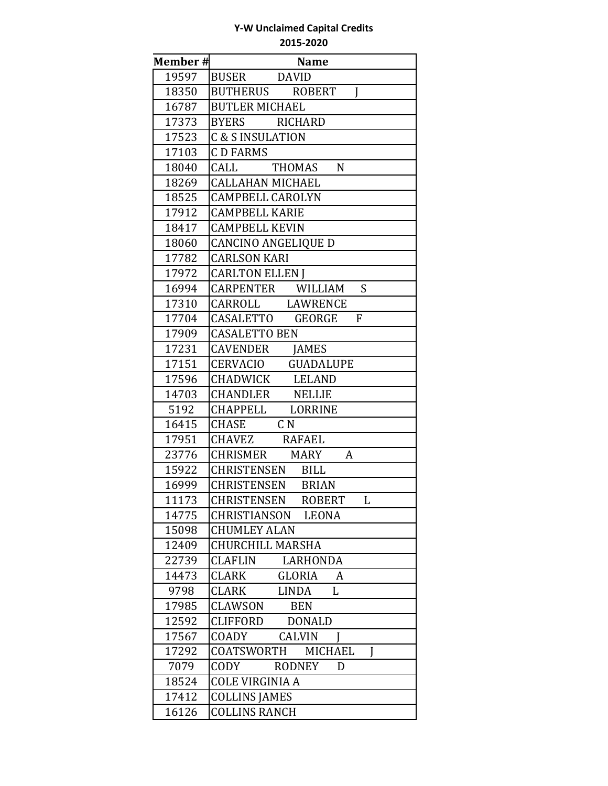| Member# | <b>Name</b>                            |
|---------|----------------------------------------|
| 19597   | BUSER DAVID                            |
| 18350   | BUTHERUS ROBERT<br>$\mathbf I$         |
| 16787   | <b>BUTLER MICHAEL</b>                  |
| 17373   | BYERS RICHARD                          |
| 17523   | <b>C &amp; S INSULATION</b>            |
| 17103   | <b>CD FARMS</b>                        |
| 18040   | THOMAS N<br>CALL                       |
| 18269   | <b>CALLAHAN MICHAEL</b>                |
| 18525   | <b>CAMPBELL CAROLYN</b>                |
| 17912   | <b>CAMPBELL KARIE</b>                  |
| 18417   | <b>CAMPBELL KEVIN</b>                  |
| 18060   | <b>CANCINO ANGELIQUE D</b>             |
| 17782   | <b>CARLSON KARI</b>                    |
| 17972   | <b>CARLTON ELLEN J</b>                 |
| 16994   | CARPENTER WILLIAM S                    |
| 17310   | CARROLL LAWRENCE                       |
| 17704   | $\mathbf{F}$<br>CASALETTO GEORGE       |
| 17909   | <b>CASALETTO BEN</b>                   |
| 17231   | CAVENDER JAMES                         |
| 17151   | CERVACIO GUADALUPE                     |
| 17596   | CHADWICK LELAND                        |
| 14703   | CHANDLER NELLIE                        |
| 5192    | CHAPPELL LORRINE                       |
| 16415   | CHASE CN                               |
| 17951   | CHAVEZ RAFAEL                          |
| 23776   | CHRISMER MARY<br>A                     |
| 15922   | CHRISTENSEN BILL                       |
| 16999   | <b>CHRISTENSEN BRIAN</b>               |
| 11173   | CHRISTENSEN ROBERT<br>$\mathbf{L}$     |
| 14775   | CHRISTIANSON<br><b>LEONA</b>           |
| 15098   | <b>CHUMLEY ALAN</b>                    |
| 12409   | <b>CHURCHILL MARSHA</b>                |
| 22739   | CLAFLIN<br>LARHONDA                    |
| 14473   | <b>CLARK</b><br><b>GLORIA</b><br>A     |
| 9798    | CLARK<br>LINDA<br>L                    |
| 17985   | CLAWSON<br><b>BEN</b>                  |
| 12592   | CLIFFORD DONALD                        |
| 17567   | <b>CALVIN</b><br>COADY<br>$\mathbf{I}$ |
| 17292   | COATSWORTH<br>MICHAEL<br>I             |
| 7079    | <b>RODNEY</b><br>CODY<br>D             |
| 18524   | <b>COLE VIRGINIA A</b>                 |
| 17412   | <b>COLLINS JAMES</b>                   |
| 16126   | <b>COLLINS RANCH</b>                   |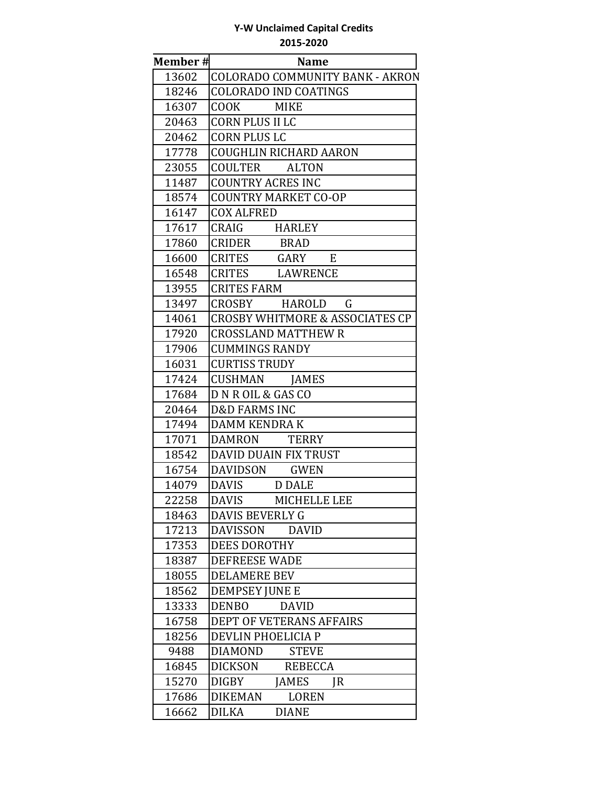| Member# | <b>Name</b>                                |
|---------|--------------------------------------------|
| 13602   | <b>COLORADO COMMUNITY BANK - AKRON</b>     |
| 18246   | <b>COLORADO IND COATINGS</b>               |
| 16307   | COOK COOK<br><b>MIKE</b>                   |
| 20463   | <b>CORN PLUS II LC</b>                     |
| 20462   | <b>CORN PLUS LC</b>                        |
| 17778   | <b>COUGHLIN RICHARD AARON</b>              |
| 23055   | COULTER<br><b>ALTON</b>                    |
| 11487   | <b>COUNTRY ACRES INC</b>                   |
| 18574   | <b>COUNTRY MARKET CO-OP</b>                |
| 16147   | <b>COX ALFRED</b>                          |
| 17617   | CRAIG<br>HARLEY                            |
| 17860   | CRIDER<br><b>BRAD</b>                      |
| 16600   | CRITES GARY E                              |
| 16548   | CRITES LAWRENCE                            |
| 13955   | <b>CRITES FARM</b>                         |
| 13497   | G<br>CROSBY HAROLD                         |
| 14061   | <b>CROSBY WHITMORE &amp; ASSOCIATES CP</b> |
| 17920   | <b>CROSSLAND MATTHEW R</b>                 |
| 17906   | <b>CUMMINGS RANDY</b>                      |
| 16031   | <b>CURTISS TRUDY</b>                       |
| 17424   | CUSHMAN JAMES                              |
| 17684   | D N R OIL & GAS CO                         |
| 20464   | <b>D&amp;D FARMS INC</b>                   |
| 17494   | DAMM KENDRA K                              |
| 17071   | <b>TERRY</b><br>DAMRON                     |
| 18542   | DAVID DUAIN FIX TRUST                      |
| 16754   | DAVIDSON GWEN                              |
| 14079   | <b>DAVIS</b><br>D DALE                     |
| 22258   | <b>DAVIS</b><br>MICHELLE LEE               |
| 18463   | <b>DAVIS BEVERLY G</b>                     |
| 17213   | <b>DAVISSON</b><br><b>DAVID</b>            |
| 17353   | <b>DEES DOROTHY</b>                        |
| 18387   | <b>DEFREESE WADE</b>                       |
| 18055   | <b>DELAMERE BEV</b>                        |
| 18562   | <b>DEMPSEY JUNE E</b>                      |
| 13333   | <b>DENBO</b><br><b>DAVID</b>               |
| 16758   | DEPT OF VETERANS AFFAIRS                   |
| 18256   | DEVLIN PHOELICIA P                         |
| 9488    | <b>STEVE</b><br><b>DIAMOND</b>             |
| 16845   | <b>DICKSON</b><br><b>REBECCA</b>           |
| 15270   | <b>DIGBY</b><br><b>JAMES</b><br>IR         |
| 17686   | <b>DIKEMAN</b><br><b>LOREN</b>             |
| 16662   | <b>DILKA</b><br><b>DIANE</b>               |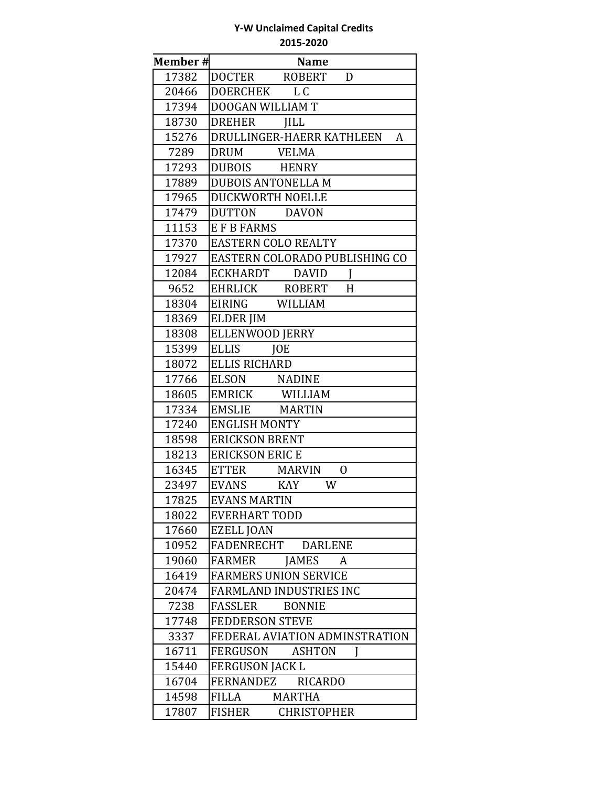| Member# | <b>Name</b>                         |
|---------|-------------------------------------|
| 17382   | DOCTER ROBERT<br>D                  |
| 20466   | DOERCHEK<br>L C                     |
| 17394   | DOOGAN WILLIAM T                    |
| 18730   | DREHER<br><b>IILL</b>               |
| 15276   | DRULLINGER-HAERR KATHLEEN<br>A      |
| 7289    | DRUM VELMA                          |
| 17293   | DUBOIS HENRY                        |
| 17889   | <b>DUBOIS ANTONELLA M</b>           |
| 17965   | DUCKWORTH NOELLE                    |
| 17479   | DUTTON DAVON                        |
| 11153   | E F B FARMS                         |
| 17370   | <b>EASTERN COLO REALTY</b>          |
| 17927   | EASTERN COLORADO PUBLISHING CO      |
| 12084   | ECKHARDT DAVID<br>$\mathbf{I}$      |
| 9652    | EHRLICK ROBERT<br>H                 |
| 18304   | EIRING WILLIAM                      |
| 18369   | <b>ELDER JIM</b>                    |
| 18308   | <b>ELLENWOOD JERRY</b>              |
| 15399   | <b>ELLIS</b><br><b>JOE</b>          |
| 18072   | <b>ELLIS RICHARD</b>                |
| 17766   | ELSON NADINE                        |
| 18605   | EMRICK WILLIAM                      |
| 17334   | EMSLIE MARTIN                       |
| 17240   | <b>ENGLISH MONTY</b>                |
| 18598   | <b>ERICKSON BRENT</b>               |
| 18213   | <b>ERICKSON ERIC E</b>              |
| 16345   | ETTER MARVIN<br>0                   |
| 23497   | <b>EVANS</b><br><b>KAY</b><br>W     |
| 17825   | <b>EVANS MARTIN</b>                 |
| 18022   | <b>EVERHART TODD</b>                |
| 17660   | <b>EZELL JOAN</b>                   |
| 10952   | <b>DARLENE</b><br>FADENRECHT        |
| 19060   | FARMER<br><b>JAMES</b><br>A         |
| 16419   | <b>FARMERS UNION SERVICE</b>        |
| 20474   | <b>FARMLAND INDUSTRIES INC</b>      |
| 7238    | FASSLER<br><b>BONNIE</b>            |
| 17748   | <b>FEDDERSON STEVE</b>              |
| 3337    | FEDERAL AVIATION ADMINSTRATION      |
| 16711   | FERGUSON<br><b>ASHTON</b><br>I      |
| 15440   | <b>FERGUSON JACK L</b>              |
| 16704   | <b>RICARDO</b><br>FERNANDEZ         |
| 14598   | <b>MARTHA</b><br>FILLA              |
| 17807   | <b>FISHER</b><br><b>CHRISTOPHER</b> |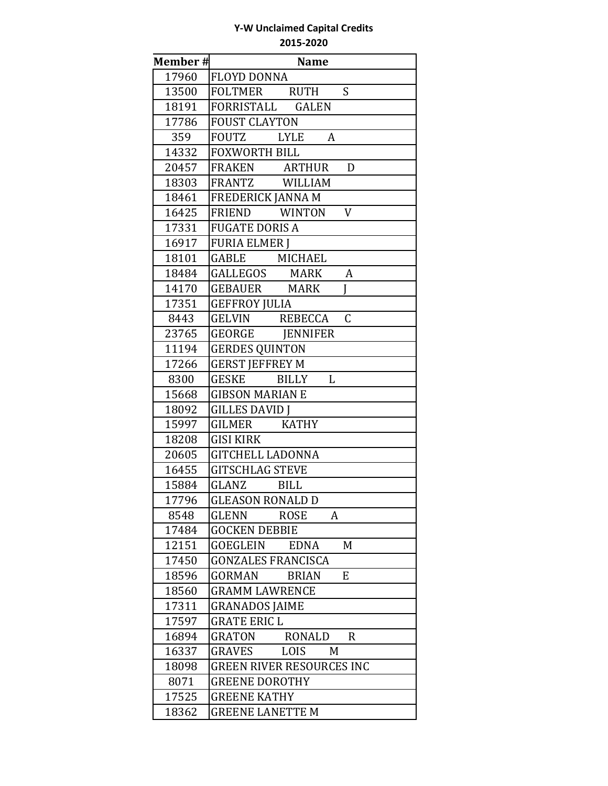| <b>Member#</b> | <b>Name</b>                                  |
|----------------|----------------------------------------------|
| 17960          | <b>FLOYD DONNA</b>                           |
| 13500          | S<br>FOLTMER RUTH                            |
| 18191          | FORRISTALL GALEN                             |
| 17786          | <b>FOUST CLAYTON</b>                         |
| 359            | FOUTZ LYLE<br>A                              |
| 14332          | <b>FOXWORTH BILL</b>                         |
| 20457          | FRAKEN ARTHUR<br>D                           |
| 18303          | FRANTZ WILLIAM                               |
| 18461          | <b>FREDERICK JANNA M</b>                     |
| 16425          | FRIEND WINTON<br>V                           |
| 17331          | <b>FUGATE DORIS A</b>                        |
| 16917          | <b>FURIA ELMER I</b>                         |
| 18101          | GABLE MICHAEL                                |
| 18484          | GALLEGOS MARK<br>A                           |
| 14170          | <b>GEBAUER MARK</b><br>I                     |
| 17351          | <b>GEFFROY JULIA</b>                         |
| 8443           | $\mathsf{C}$<br>GELVIN REBECCA               |
| 23765          | GEORGE JENNIFER                              |
| 11194          | <b>GERDES QUINTON</b>                        |
| 17266          | <b>GERST JEFFREY M</b>                       |
| 8300           | <b>GESKE</b><br>$\mathbf{L}$<br><b>BILLY</b> |
| 15668          | <b>GIBSON MARIAN E</b>                       |
| 18092          | <b>GILLES DAVID J</b>                        |
| 15997          | <b>KATHY</b><br>GILMER                       |
| 18208          | <b>GISI KIRK</b>                             |
| 20605          | <b>GITCHELL LADONNA</b>                      |
| 16455          | <b>GITSCHLAG STEVE</b>                       |
| 15884          | GLANZ BILL                                   |
| 17796          | <b>GLEASON RONALD D</b>                      |
| 8548           | GLENN<br><b>ROSE</b><br>A                    |
| 17484          | <b>GOCKEN DEBBIE</b>                         |
| 12151          | <b>EDNA</b><br>M<br>GOEGLEIN                 |
| 17450          | <b>GONZALES FRANCISCA</b>                    |
| 18596          | GORMAN<br><b>BRIAN</b><br>E                  |
| 18560          | <b>GRAMM LAWRENCE</b>                        |
| 17311          | <b>GRANADOS JAIME</b>                        |
| 17597          | <b>GRATE ERIC L</b>                          |
| 16894          | <b>GRATON</b><br>RONALD<br>R                 |
| 16337          | GRAVES<br>LOIS<br>M                          |
| 18098          | <b>GREEN RIVER RESOURCES INC</b>             |
| 8071           | <b>GREENE DOROTHY</b>                        |
| 17525          | <b>GREENE KATHY</b>                          |
| 18362          | <b>GREENE LANETTE M</b>                      |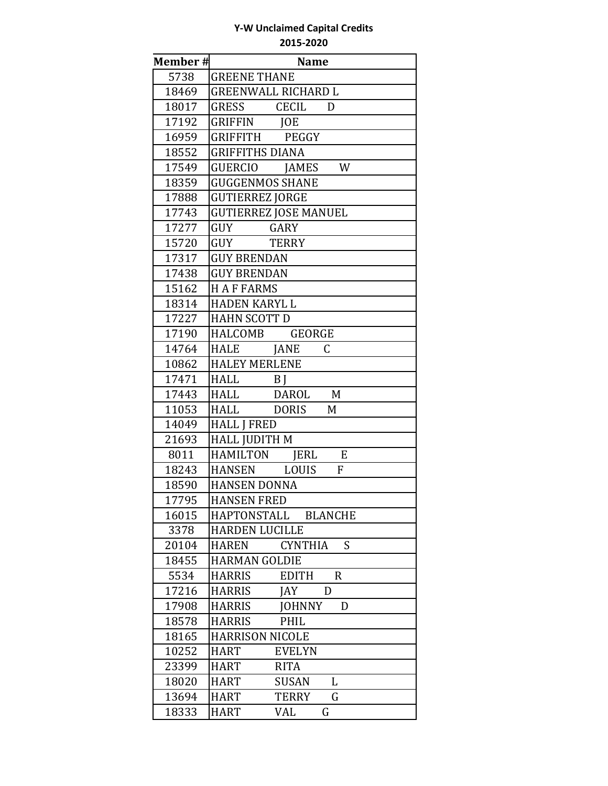| Member# | <b>Name</b>                                   |
|---------|-----------------------------------------------|
| 5738    | <b>GREENE THANE</b>                           |
| 18469   | <b>GREENWALL RICHARD L</b>                    |
| 18017   | <b>GRESS</b><br>CECIL<br>D                    |
| 17192   | GRIFFIN<br>JOE                                |
| 16959   | GRIFFITH PEGGY                                |
| 18552   | <b>GRIFFITHS DIANA</b>                        |
| 17549   | GUERCIO JAMES<br>W                            |
| 18359   | <b>GUGGENMOS SHANE</b>                        |
| 17888   | <b>GUTIERREZ JORGE</b>                        |
| 17743   | <b>GUTIERREZ JOSE MANUEL</b>                  |
| 17277   | GUY<br>GARY                                   |
| 15720   | GUY<br><b>TERRY</b>                           |
| 17317   | <b>GUY BRENDAN</b>                            |
| 17438   | <b>GUY BRENDAN</b>                            |
| 15162   | <b>HAFFARMS</b>                               |
| 18314   | <b>HADEN KARYL L</b>                          |
| 17227   | <b>HAHN SCOTT D</b>                           |
| 17190   | HALCOMB<br><b>GEORGE</b>                      |
| 14764   | $\mathsf C$<br>HALE JANE                      |
| 10862   | <b>HALEY MERLENE</b>                          |
| 17471   | <b>HALL</b><br>B <sub>I</sub>                 |
| 17443   | DAROL<br>M<br><b>HALL</b>                     |
| 11053   | HALL DORIS<br>M                               |
| 14049   | <b>HALL J FRED</b>                            |
| 21693   | <b>HALL JUDITH M</b>                          |
| 8011    | HAMILTON JERL<br>E                            |
| 18243   | F<br><b>HANSEN</b><br>LOUIS                   |
| 18590   | <b>HANSEN DONNA</b>                           |
| 17795   | <b>HANSEN FRED</b>                            |
| 16015   | HAPTONSTALL<br><b>BLANCHE</b>                 |
| 3378    | <b>HARDEN LUCILLE</b>                         |
| 20104   | <b>CYNTHIA</b><br>S<br><b>HAREN</b>           |
| 18455   | <b>HARMAN GOLDIE</b>                          |
| 5534    | <b>HARRIS</b><br><b>EDITH</b><br>$\mathsf{R}$ |
| 17216   | <b>HARRIS</b><br><b>JAY</b><br>D              |
| 17908   | <b>JOHNNY</b><br>D<br><b>HARRIS</b>           |
| 18578   | <b>HARRIS</b><br>PHIL                         |
| 18165   | <b>HARRISON NICOLE</b>                        |
| 10252   | <b>HART</b><br><b>EVELYN</b>                  |
| 23399   | <b>RITA</b><br><b>HART</b>                    |
| 18020   | <b>HART</b><br><b>SUSAN</b><br>L              |
| 13694   | G<br><b>HART</b><br>TERRY                     |
| 18333   | <b>HART</b><br>VAL<br>G                       |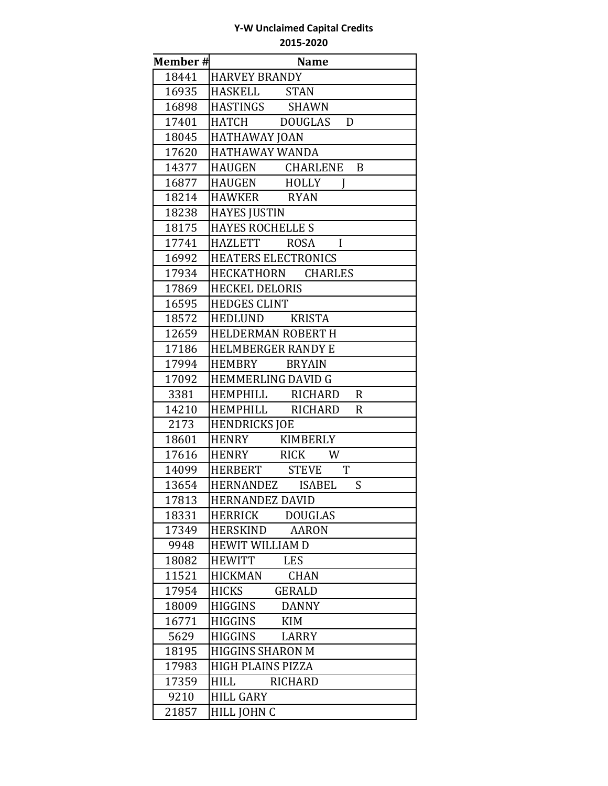| Member# | <b>Name</b>                      |
|---------|----------------------------------|
| 18441   | <b>HARVEY BRANDY</b>             |
| 16935   | HASKELL STAN                     |
| 16898   | HASTINGS SHAWN                   |
| 17401   | HATCH DOUGLAS D                  |
| 18045   | <b>HATHAWAY JOAN</b>             |
| 17620   | <b>HATHAWAY WANDA</b>            |
| 14377   | HAUGEN CHARLENE B                |
| 16877   | HAUGEN HOLLY                     |
| 18214   | HAWKER RYAN                      |
| 18238   | <b>HAYES JUSTIN</b>              |
| 18175   | <b>HAYES ROCHELLE S</b>          |
| 17741   | HAZLETT ROSA I                   |
| 16992   | <b>HEATERS ELECTRONICS</b>       |
| 17934   | HECKATHORN CHARLES               |
| 17869   | <b>HECKEL DELORIS</b>            |
| 16595   | <b>HEDGES CLINT</b>              |
| 18572   | HEDLUND KRISTA                   |
| 12659   | <b>HELDERMAN ROBERT H</b>        |
| 17186   | <b>HELMBERGER RANDY E</b>        |
| 17994   | HEMBRY BRYAIN                    |
| 17092   | <b>HEMMERLING DAVID G</b>        |
| 3381    | HEMPHILL RICHARD<br>$\mathbf R$  |
| 14210   | HEMPHILL RICHARD<br>$\mathbf R$  |
| 2173    | <b>HENDRICKS JOE</b>             |
| 18601   | HENRY KIMBERLY                   |
| 17616   | HENRY RICK W                     |
| 14099   | HERBERT STEVE<br>T               |
| 13654   | HERNANDEZ ISABEL<br>S            |
| 17813   | <b>HERNANDEZ DAVID</b>           |
| 18331   | <b>HERRICK</b><br><b>DOUGLAS</b> |
| 17349   | <b>HERSKIND</b><br><b>AARON</b>  |
| 9948    | <b>HEWIT WILLIAM D</b>           |
| 18082   | <b>HEWITT</b><br><b>LES</b>      |
| 11521   | <b>HICKMAN</b><br><b>CHAN</b>    |
| 17954   | <b>HICKS</b><br>GERALD           |
| 18009   | <b>HIGGINS</b><br><b>DANNY</b>   |
| 16771   | <b>HIGGINS</b><br><b>KIM</b>     |
| 5629    | <b>HIGGINS</b><br>LARRY          |
| 18195   | <b>HIGGINS SHARON M</b>          |
| 17983   | HIGH PLAINS PIZZA                |
| 17359   | <b>HILL</b><br><b>RICHARD</b>    |
| 9210    | <b>HILL GARY</b>                 |
| 21857   | HILL JOHN C                      |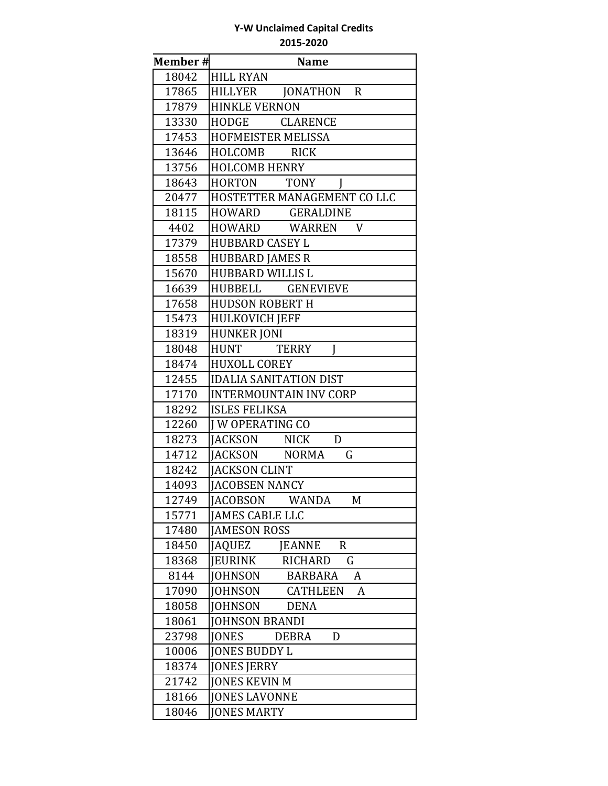| Member# | <b>Name</b>                                   |
|---------|-----------------------------------------------|
| 18042   | <b>HILL RYAN</b>                              |
| 17865   | HILLYER JONATHON R                            |
| 17879   | <b>HINKLE VERNON</b>                          |
| 13330   | HODGE CLARENCE                                |
| 17453   | HOFMEISTER MELISSA                            |
| 13646   | HOLCOMB RICK                                  |
| 13756   | <b>HOLCOMB HENRY</b>                          |
| 18643   | <b>HORTON</b><br><b>TONY</b><br>$\mathbf{I}$  |
| 20477   | HOSTETTER MANAGEMENT CO LLC                   |
| 18115   | HOWARD GERALDINE                              |
| 4402    | HOWARD WARREN<br>V                            |
| 17379   | <b>HUBBARD CASEY L</b>                        |
| 18558   | <b>HUBBARD JAMES R</b>                        |
| 15670   | <b>HUBBARD WILLIS L</b>                       |
| 16639   | HUBBELL GENEVIEVE                             |
| 17658   | <b>HUDSON ROBERT H</b>                        |
| 15473   | <b>HULKOVICH JEFF</b>                         |
| 18319   | <b>HUNKER JONI</b>                            |
| 18048   | <b>HUNT</b><br><b>TERRY</b><br>Ī              |
| 18474   | <b>HUXOLL COREY</b>                           |
| 12455   | <b>IDALIA SANITATION DIST</b>                 |
| 17170   | <b>INTERMOUNTAIN INV CORP</b>                 |
| 18292   | <b>ISLES FELIKSA</b>                          |
| 12260   | <b>I W OPERATING CO</b>                       |
| 18273   | JACKSON NICK<br>D                             |
| 14712   | G<br>JACKSON NORMA                            |
| 18242   | <b>JACKSON CLINT</b>                          |
| 14093   | <b>JACOBSEN NANCY</b>                         |
| 12749   | JACOBSON WANDA<br>M                           |
| 15771   | <b>JAMES CABLE LLC</b>                        |
| 17480   | <b>JAMESON ROSS</b>                           |
| 18450   | <b>JAQUEZ</b><br><b>JEANNE</b><br>$\mathbf R$ |
| 18368   | <b>JEURINK</b><br><b>RICHARD</b><br>G         |
| 8144    | <b>JOHNSON</b><br><b>BARBARA</b><br>A         |
| 17090   | <b>JOHNSON</b><br><b>CATHLEEN</b><br>A        |
| 18058   | <b>JOHNSON</b><br><b>DENA</b>                 |
| 18061   | <b>JOHNSON BRANDI</b>                         |
| 23798   | <b>JONES</b><br><b>DEBRA</b><br>D             |
| 10006   | <b>JONES BUDDY L</b>                          |
| 18374   | <b>JONES JERRY</b>                            |
| 21742   | <b>JONES KEVIN M</b>                          |
| 18166   | <b>JONES LAVONNE</b>                          |
| 18046   | <b>JONES MARTY</b>                            |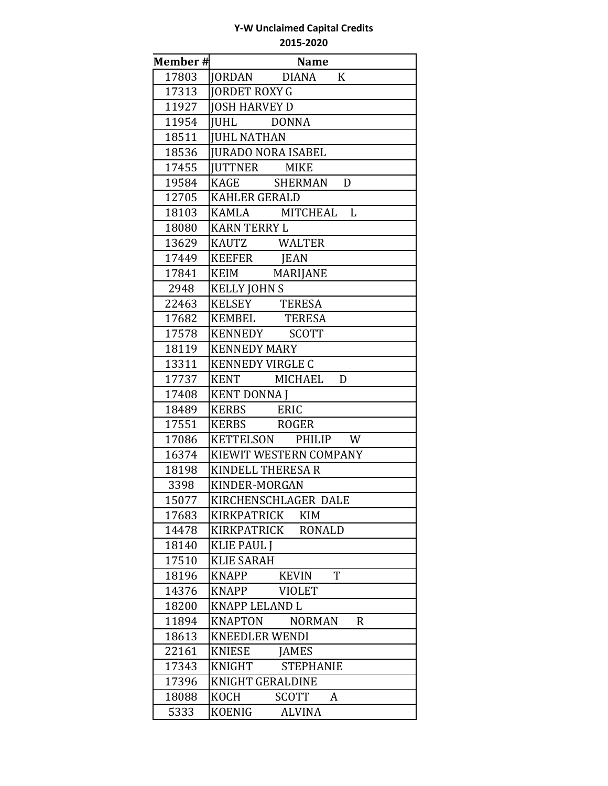| Member# | <b>Name</b>                                    |
|---------|------------------------------------------------|
| 17803   | JORDAN DIANA K                                 |
| 17313   | <b>JORDET ROXY G</b>                           |
| 11927   | <b>JOSH HARVEY D</b>                           |
| 11954   | JUHL DONNA                                     |
| 18511   | <b>JUHL NATHAN</b>                             |
| 18536   | <b>JURADO NORA ISABEL</b>                      |
| 17455   | JUTTNER MIKE                                   |
| 19584   | KAGE SHERMAN<br>D                              |
| 12705   | <b>KAHLER GERALD</b>                           |
| 18103   | KAMLA MITCHEAL L                               |
| 18080   | <b>KARN TERRY L</b>                            |
| 13629   | KAUTZ WALTER                                   |
| 17449   | KEEFER JEAN                                    |
| 17841   | KEIM MARIJANE                                  |
| 2948    | <b>KELLY JOHN S</b>                            |
| 22463   | KELSEY TERESA                                  |
| 17682   | KEMBEL TERESA                                  |
| 17578   | KENNEDY SCOTT                                  |
| 18119   | <b>KENNEDY MARY</b>                            |
| 13311   | <b>KENNEDY VIRGLE C</b>                        |
| 17737   | KENT MICHAEL<br>D                              |
| 17408   | <b>KENT DONNA J</b>                            |
| 18489   | KERBS ERIC                                     |
| 17551   | KERBS ROGER                                    |
| 17086   | KETTELSON PHILIP W                             |
| 16374   | <b>KIEWIT WESTERN COMPANY</b>                  |
| 18198   | KINDELL THERESA R                              |
| 3398    | KINDER-MORGAN                                  |
| 15077   | KIRCHENSCHLAGER DALE                           |
| 17683   | <b>KIRKPATRICK</b><br><b>KIM</b>               |
| 14478   | KIRKPATRICK<br><b>RONALD</b>                   |
| 18140   | <b>KLIE PAUL J</b>                             |
| 17510   | <b>KLIE SARAH</b>                              |
| 18196   | T<br><b>KNAPP</b><br><b>KEVIN</b>              |
| 14376   | <b>KNAPP</b><br><b>VIOLET</b>                  |
| 18200   | <b>KNAPP LELAND L</b>                          |
| 11894   | <b>KNAPTON</b><br><b>NORMAN</b><br>$\mathbf R$ |
| 18613   | <b>KNEEDLER WENDI</b>                          |
| 22161   | <b>KNIESE</b><br><b>JAMES</b>                  |
| 17343   | <b>KNIGHT</b><br><b>STEPHANIE</b>              |
| 17396   | KNIGHT GERALDINE                               |
| 18088   | KOCH<br><b>SCOTT</b><br>A                      |
| 5333    | <b>KOENIG</b><br><b>ALVINA</b>                 |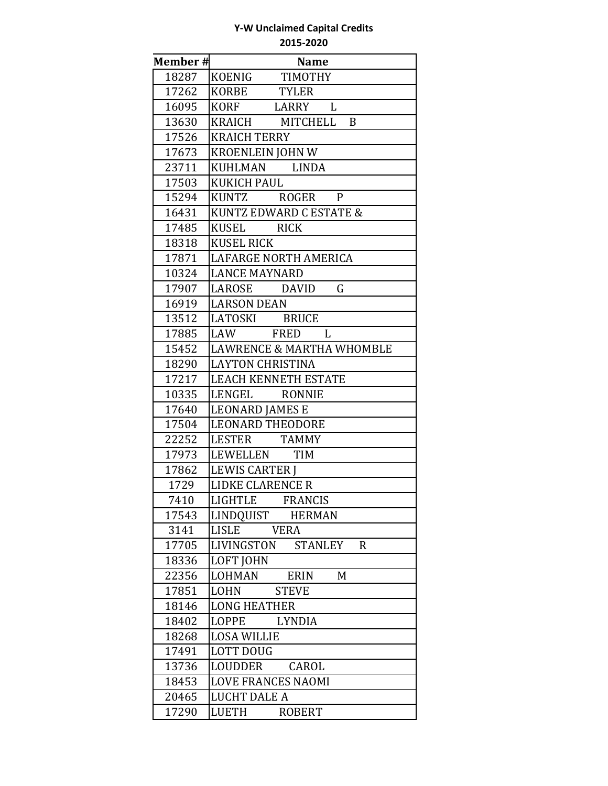| Member# | <b>Name</b>                          |
|---------|--------------------------------------|
| 18287   | KOENIG TIMOTHY                       |
| 17262   | <b>TYLER</b><br>KORBE                |
| 16095   | KORF LARRY L                         |
| 13630   | KRAICH MITCHELL B                    |
| 17526   | <b>KRAICH TERRY</b>                  |
| 17673   | <b>KROENLEIN JOHN W</b>              |
| 23711   | KUHLMAN LINDA                        |
| 17503   | <b>KUKICH PAUL</b>                   |
| 15294   | KUNTZ ROGER P                        |
| 16431   | KUNTZ EDWARD C ESTATE &              |
| 17485   | KUSEL RICK                           |
| 18318   | <b>KUSEL RICK</b>                    |
| 17871   | <b>LAFARGE NORTH AMERICA</b>         |
| 10324   | <b>LANCE MAYNARD</b>                 |
| 17907   | $\mathsf G$<br>LAROSE DAVID          |
| 16919   | <b>LARSON DEAN</b>                   |
| 13512   | LATOSKI BRUCE                        |
| 17885   | LAW FRED<br>L                        |
| 15452   | <b>LAWRENCE &amp; MARTHA WHOMBLE</b> |
| 18290   | <b>LAYTON CHRISTINA</b>              |
| 17217   | LEACH KENNETH ESTATE                 |
| 10335   | LENGEL RONNIE                        |
| 17640   | <b>LEONARD JAMES E</b>               |
| 17504   | <b>LEONARD THEODORE</b>              |
| 22252   | LESTER TAMMY                         |
| 17973   | LEWELLEN TIM                         |
| 17862   | <b>LEWIS CARTER I</b>                |
| 1729    | LIDKE CLARENCE R                     |
| 7410    | LIGHTLE FRANCIS                      |
| 17543   | LINDQUIST<br><b>HERMAN</b>           |
| 3141    | LISLE<br><b>VERA</b>                 |
| 17705   | LIVINGSTON<br>STANLEY<br>$\mathbf R$ |
| 18336   | <b>LOFT JOHN</b>                     |
| 22356   | LOHMAN<br>M<br><b>ERIN</b>           |
| 17851   | LOHN<br><b>STEVE</b>                 |
| 18146   | <b>LONG HEATHER</b>                  |
| 18402   | LOPPE<br><b>LYNDIA</b>               |
| 18268   | <b>LOSA WILLIE</b>                   |
| 17491   | <b>LOTT DOUG</b>                     |
| 13736   | <b>LOUDDER</b><br>CAROL              |
| 18453   | <b>LOVE FRANCES NAOMI</b>            |
| 20465   | <b>LUCHT DALE A</b>                  |
| 17290   | LUETH<br><b>ROBERT</b>               |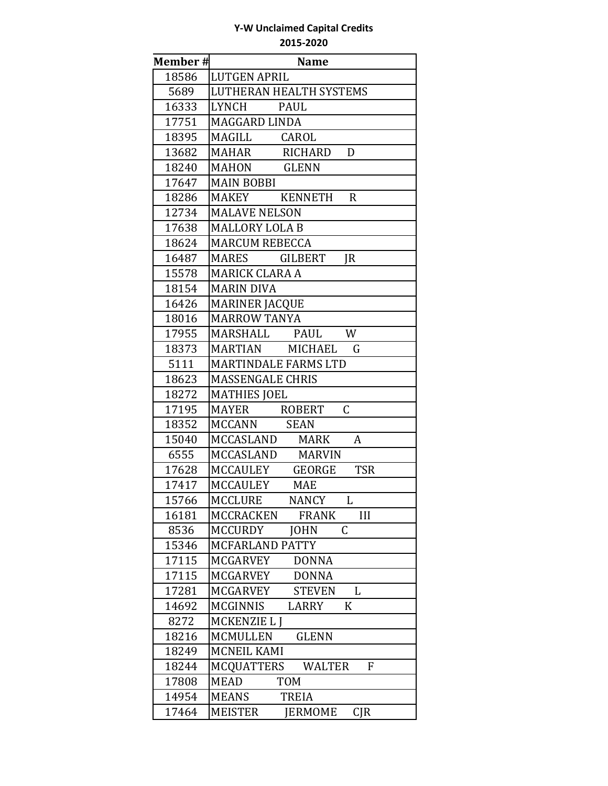| <b>Member#</b> | <b>Name</b>                                   |
|----------------|-----------------------------------------------|
| 18586          | <b>LUTGEN APRIL</b>                           |
| 5689           | <b>LUTHERAN HEALTH SYSTEMS</b>                |
| 16333          | LYNCH<br><b>PAUL</b>                          |
| 17751          | MAGGARD LINDA                                 |
| 18395          | MAGILL<br>CAROL                               |
| 13682          | RICHARD<br>MAHAR<br>D                         |
| 18240          | MAHON GLENN                                   |
| 17647          | <b>MAIN BOBBI</b>                             |
| 18286          | MAKEY KENNETH<br>$\mathbf R$                  |
| 12734          | <b>MALAVE NELSON</b>                          |
| 17638          | <b>MALLORY LOLA B</b>                         |
| 18624          | <b>MARCUM REBECCA</b>                         |
| 16487          | MARES GILBERT<br>JR                           |
| 15578          | <b>MARICK CLARA A</b>                         |
| 18154          | <b>MARIN DIVA</b>                             |
| 16426          | <b>MARINER JACQUE</b>                         |
| 18016          | <b>MARROW TANYA</b>                           |
| 17955          | W<br>MARSHALL PAUL                            |
| 18373          | MARTIAN MICHAEL<br>G                          |
| 5111           | <b>MARTINDALE FARMS LTD</b>                   |
| 18623          | <b>MASSENGALE CHRIS</b>                       |
| 18272          | <b>MATHIES JOEL</b>                           |
| 17195          | $\mathsf{C}$<br><b>MAYER</b><br>ROBERT        |
| 18352          | MCCANN SEAN                                   |
| 15040          | MCCASLAND MARK<br>A                           |
| 6555           | MCCASLAND MARVIN                              |
| 17628          | <b>TSR</b><br>MCCAULEY GEORGE                 |
| 17417          | MCCAULEY<br><b>MAE</b>                        |
| 15766          | MCCLURE NANCY<br>$\mathbf{L}$                 |
| 16181          | <b>MCCRACKEN</b><br><b>FRANK</b><br>III       |
| 8536           | <b>JOHN</b><br><b>MCCURDY</b><br>C            |
| 15346          | MCFARLAND PATTY                               |
| 17115          | MCGARVEY<br><b>DONNA</b>                      |
| 17115          | MCGARVEY<br><b>DONNA</b>                      |
| 17281          | MCGARVEY<br><b>STEVEN</b><br>L                |
| 14692          | <b>MCGINNIS</b><br>LARRY<br>K                 |
| 8272           | MCKENZIE L J                                  |
| 18216          | <b>GLENN</b><br>MCMULLEN                      |
| 18249          | MCNEIL KAMI                                   |
| 18244          | MCQUATTERS<br><b>WALTER</b><br>F              |
| 17808          | <b>MEAD</b><br><b>TOM</b>                     |
| 14954          | MEANS<br><b>TREIA</b>                         |
| 17464          | <b>MEISTER</b><br><b>IERMOME</b><br>$C$ J $R$ |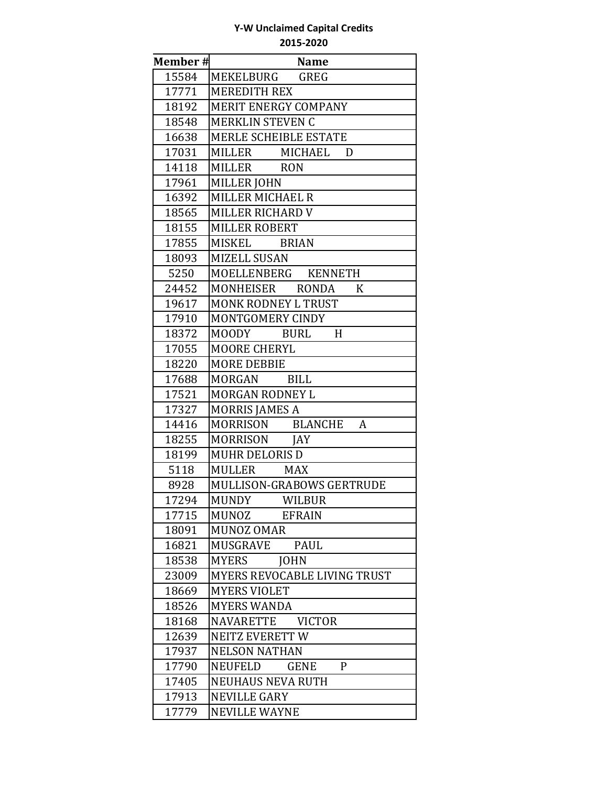| Member# | <b>Name</b>                                   |
|---------|-----------------------------------------------|
| 15584   | MEKELBURG GREG                                |
| 17771   | <b>MEREDITH REX</b>                           |
| 18192   | MERIT ENERGY COMPANY                          |
| 18548   | <b>MERKLIN STEVEN C</b>                       |
| 16638   | <b>MERLE SCHEIBLE ESTATE</b>                  |
| 17031   | MILLER MICHAEL<br>D                           |
| 14118   | MILLER RON                                    |
| 17961   | <b>MILLER JOHN</b>                            |
| 16392   | MILLER MICHAEL R                              |
| 18565   | MILLER RICHARD V                              |
| 18155   | MILLER ROBERT                                 |
| 17855   | MISKEL BRIAN                                  |
| 18093   | <b>MIZELL SUSAN</b>                           |
| 5250    | MOELLENBERG KENNETH                           |
| 24452   | MONHEISER RONDA<br>K                          |
| 19617   | MONK RODNEY L TRUST                           |
| 17910   | MONTGOMERY CINDY                              |
| 18372   | MOODY BURL<br>H                               |
| 17055   | <b>MOORE CHERYL</b>                           |
| 18220   | <b>MORE DEBBIE</b>                            |
| 17688   | MORGAN BILL                                   |
| 17521   | MORGAN RODNEY L                               |
| 17327   | <b>MORRIS JAMES A</b>                         |
| 14416   | MORRISON BLANCHE<br>A                         |
| 18255   | MORRISON JAY                                  |
| 18199   | <b>MUHR DELORIS D</b>                         |
| 5118    | MULLER MAX                                    |
| 8928    | MULLISON-GRABOWS GERTRUDE                     |
| 17294   | <b>MUNDY</b><br>WILBUR                        |
| 17715   | <b>MUNOZ</b><br><b>EFRAIN</b>                 |
| 18091   | <b>MUNOZ OMAR</b>                             |
| 16821   | <b>PAUL</b><br><b>MUSGRAVE</b>                |
| 18538   | <b>MYERS</b><br><b>JOHN</b>                   |
| 23009   | MYERS REVOCABLE LIVING TRUST                  |
| 18669   | <b>MYERS VIOLET</b>                           |
| 18526   | <b>MYERS WANDA</b>                            |
| 18168   | <b>NAVARETTE</b><br><b>VICTOR</b>             |
| 12639   | NEITZ EVERETT W                               |
| 17937   | <b>NELSON NATHAN</b>                          |
| 17790   | $\mathbf{P}$<br><b>NEUFELD</b><br><b>GENE</b> |
| 17405   | <b>NEUHAUS NEVA RUTH</b>                      |
| 17913   | <b>NEVILLE GARY</b>                           |
| 17779   | <b>NEVILLE WAYNE</b>                          |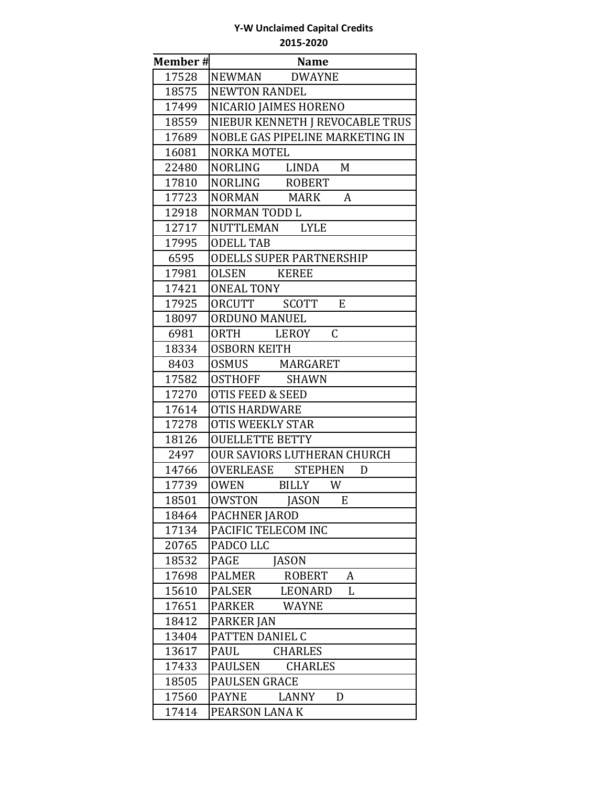| Member# | <b>Name</b>                     |
|---------|---------------------------------|
| 17528   | NEWMAN DWAYNE                   |
| 18575   | <b>NEWTON RANDEL</b>            |
| 17499   | NICARIO JAIMES HORENO           |
| 18559   | NIEBUR KENNETH J REVOCABLE TRUS |
| 17689   | NOBLE GAS PIPELINE MARKETING IN |
| 16081   | <b>NORKA MOTEL</b>              |
| 22480   | NORLING LINDA M                 |
| 17810   | NORLING ROBERT                  |
| 17723   | NORMAN MARK<br>A                |
| 12918   | NORMAN TODD L                   |
| 12717   | NUTTLEMAN LYLE                  |
| 17995   | <b>ODELL TAB</b>                |
| 6595    | <b>ODELLS SUPER PARTNERSHIP</b> |
| 17981   | OLSEN KEREE                     |
| 17421   | <b>ONEAL TONY</b>               |
| 17925   | ORCUTT SCOTT<br>E               |
| 18097   | <b>ORDUNO MANUEL</b>            |
| 6981    | $\mathsf C$<br>ORTH LEROY       |
| 18334   | <b>OSBORN KEITH</b>             |
| 8403    | OSMUS MARGARET                  |
| 17582   | OSTHOFF SHAWN                   |
| 17270   | <b>OTIS FEED &amp; SEED</b>     |
| 17614   | <b>OTIS HARDWARE</b>            |
| 17278   | <b>OTIS WEEKLY STAR</b>         |
| 18126   | <b>OUELLETTE BETTY</b>          |
| 2497    | OUR SAVIORS LUTHERAN CHURCH     |
| 14766   | OVERLEASE STEPHEN<br>D          |
| 17739   | OWEN BILLY W                    |
| 18501   | OWSTON JASON<br>E               |
| 18464   | <b>PACHNER JAROD</b>            |
| 17134   | PACIFIC TELECOM INC             |
| 20765   | PADCO LLC                       |
| 18532   | PAGE<br><b>JASON</b>            |
| 17698   | PALMER<br>A<br>ROBERT           |
| 15610   | PALSER<br>LEONARD<br>L          |
| 17651   | <b>WAYNE</b><br>PARKER          |
| 18412   | PARKER JAN                      |
| 13404   | PATTEN DANIEL C                 |
| 13617   | <b>CHARLES</b><br>PAUL          |
| 17433   | PAULSEN<br><b>CHARLES</b>       |
| 18505   | PAULSEN GRACE                   |
| 17560   | PAYNE<br>LANNY<br>D             |
| 17414   | PEARSON LANAK                   |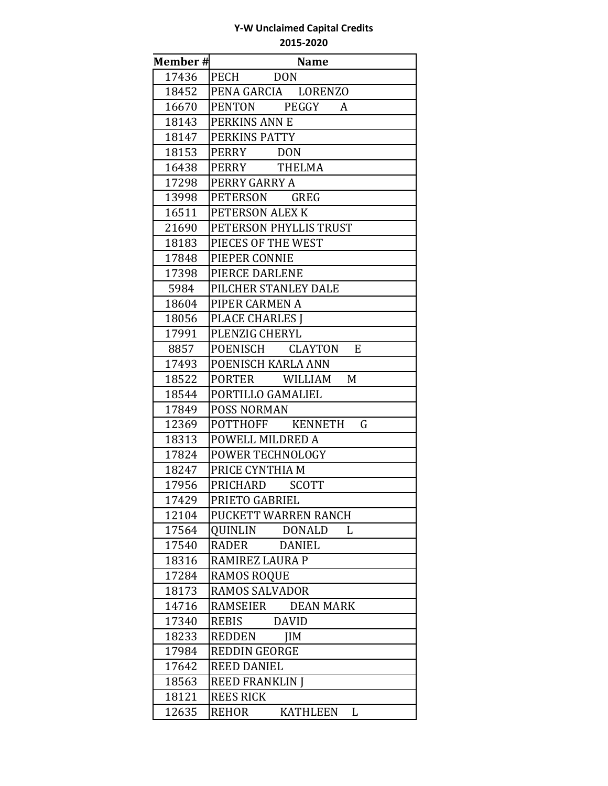| Member# | <b>Name</b>                          |
|---------|--------------------------------------|
| 17436   | PECH<br><b>DON</b>                   |
| 18452   | PENA GARCIA LORENZO                  |
| 16670   | PENTON PEGGY<br>A                    |
| 18143   | PERKINS ANN E                        |
| 18147   | PERKINS PATTY                        |
| 18153   | PERRY DON                            |
| 16438   | PERRY THELMA                         |
| 17298   | PERRY GARRY A                        |
| 13998   | PETERSON<br><b>GREG</b>              |
| 16511   | PETERSON ALEX K                      |
| 21690   | PETERSON PHYLLIS TRUST               |
| 18183   | PIECES OF THE WEST                   |
| 17848   | PIEPER CONNIE                        |
| 17398   | PIERCE DARLENE                       |
| 5984    | PILCHER STANLEY DALE                 |
| 18604   | PIPER CARMEN A                       |
| 18056   | <b>PLACE CHARLES I</b>               |
| 17991   | PLENZIG CHERYL                       |
| 8857    | POENISCH CLAYTON<br>E                |
| 17493   | POENISCH KARLA ANN                   |
| 18522   | PORTER WILLIAM<br>M                  |
| 18544   | PORTILLO GAMALIEL                    |
| 17849   | <b>POSS NORMAN</b>                   |
| 12369   | POTTHOFF KENNETH<br>G                |
| 18313   | POWELL MILDRED A                     |
| 17824   | POWER TECHNOLOGY                     |
| 18247   | PRICE CYNTHIA M                      |
| 17956   | PRICHARD<br><b>SCOTT</b>             |
| 17429   | PRIETO GABRIEL                       |
| 12104   | PUCKETT WARREN RANCH                 |
| 17564   | QUINLIN<br>DONALD<br>L               |
| 17540   | <b>RADER</b><br><b>DANIEL</b>        |
| 18316   | RAMIREZ LAURA P                      |
| 17284   | <b>RAMOS ROQUE</b>                   |
| 18173   | <b>RAMOS SALVADOR</b>                |
| 14716   | RAMSEIER<br><b>DEAN MARK</b>         |
| 17340   | REBIS<br><b>DAVID</b>                |
| 18233   | REDDEN<br><b>JIM</b>                 |
| 17984   | <b>REDDIN GEORGE</b>                 |
| 17642   | <b>REED DANIEL</b>                   |
| 18563   | <b>REED FRANKLIN J</b>               |
| 18121   | <b>REES RICK</b>                     |
| 12635   | <b>REHOR</b><br><b>KATHLEEN</b><br>L |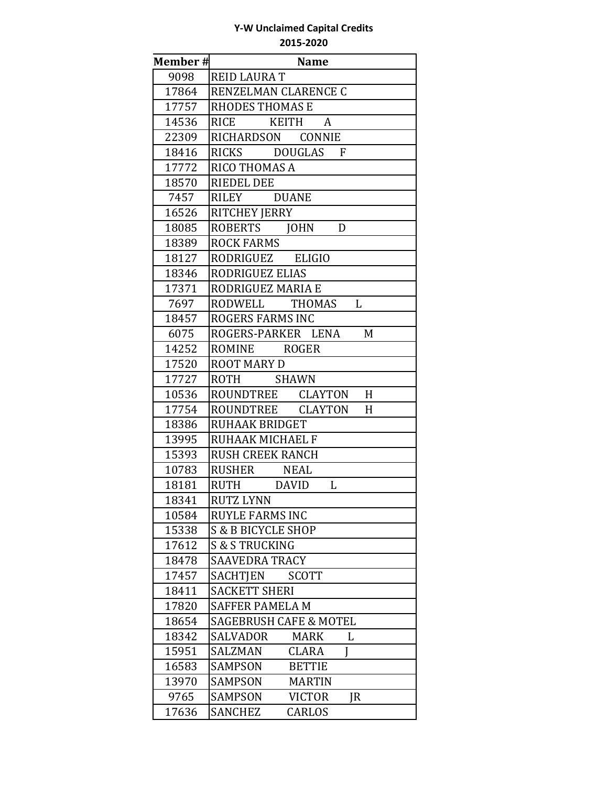| Member# | <b>Name</b>                           |
|---------|---------------------------------------|
| 9098    | <b>REID LAURA T</b>                   |
| 17864   | RENZELMAN CLARENCE C                  |
| 17757   | <b>RHODES THOMAS E</b>                |
| 14536   | RICE KEITH<br>$\boldsymbol{A}$        |
| 22309   | RICHARDSON CONNIE                     |
| 18416   | RICKS DOUGLAS F                       |
| 17772   | RICO THOMAS A                         |
| 18570   | <b>RIEDEL DEE</b>                     |
| 7457    | RILEY DUANE                           |
| 16526   | RITCHEY JERRY                         |
| 18085   | ROBERTS JOHN<br>D                     |
| 18389   | <b>ROCK FARMS</b>                     |
| 18127   | RODRIGUEZ ELIGIO                      |
| 18346   | RODRIGUEZ ELIAS                       |
| 17371   | RODRIGUEZ MARIA E                     |
| 7697    | RODWELL THOMAS<br>L                   |
| 18457   | <b>ROGERS FARMS INC</b>               |
| 6075    | ROGERS-PARKER LENA<br>M               |
| 14252   | ROMINE ROGER                          |
| 17520   | <b>ROOT MARY D</b>                    |
| 17727   | ROTH SHAWN                            |
| 10536   | ROUNDTREE CLAYTON H                   |
| 17754   | ROUNDTREE CLAYTON<br>H                |
| 18386   | RUHAAK BRIDGET                        |
| 13995   | RUHAAK MICHAEL F                      |
| 15393   | <b>RUSH CREEK RANCH</b>               |
| 10783   | RUSHER NEAL                           |
| 18181   | RUTH DAVID<br>L                       |
| 18341   | <b>RUTZ LYNN</b>                      |
| 10584   | <b>RUYLE FARMS INC</b>                |
| 15338   | <b>S &amp; B BICYCLE SHOP</b>         |
| 17612   | <b>S &amp; S TRUCKING</b>             |
| 18478   | <b>SAAVEDRA TRACY</b>                 |
| 17457   | SACHTIEN<br><b>SCOTT</b>              |
| 18411   | <b>SACKETT SHERI</b>                  |
| 17820   | <b>SAFFER PAMELA M</b>                |
| 18654   | <b>SAGEBRUSH CAFE &amp; MOTEL</b>     |
| 18342   | SALVADOR<br><b>MARK</b><br>L          |
| 15951   | <b>SALZMAN</b><br><b>CLARA</b><br>I   |
| 16583   | <b>BETTIE</b><br>SAMPSON              |
| 13970   | <b>MARTIN</b><br><b>SAMPSON</b>       |
| 9765    | <b>VICTOR</b><br>SAMPSON<br><b>JR</b> |
| 17636   | <b>SANCHEZ</b><br><b>CARLOS</b>       |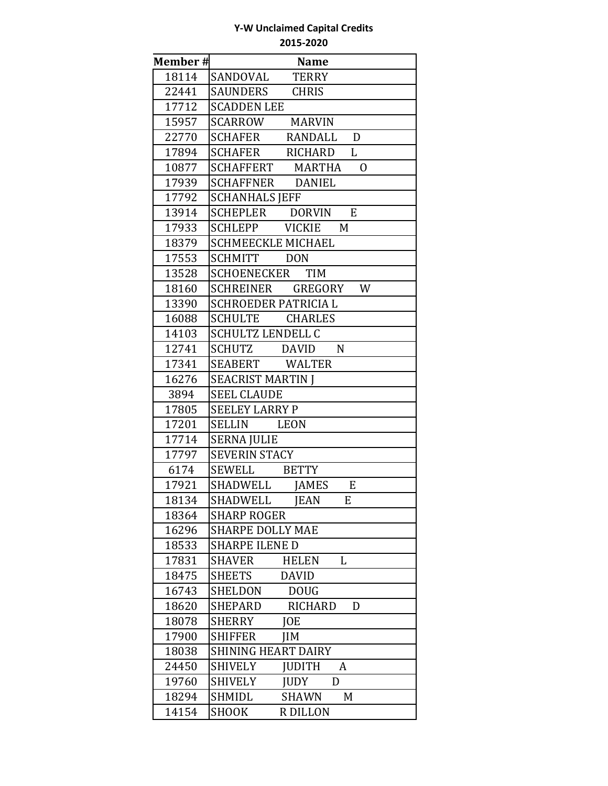| Member# | <b>Name</b>                               |
|---------|-------------------------------------------|
| 18114   | SANDOVAL<br><b>TERRY</b>                  |
| 22441   | SAUNDERS<br><b>CHRIS</b>                  |
| 17712   | <b>SCADDEN LEE</b>                        |
| 15957   | <b>MARVIN</b><br>SCARROW                  |
| 22770   | D<br>SCHAFER<br>RANDALL                   |
| 17894   | $\mathbf{L}$<br><b>SCHAFER</b><br>RICHARD |
| 10877   | SCHAFFERT MARTHA O                        |
| 17939   | SCHAFFNER DANIEL                          |
| 17792   | <b>SCHANHALS JEFF</b>                     |
| 13914   | SCHEPLER DORVIN<br>E                      |
| 17933   | SCHLEPP VICKIE M                          |
| 18379   | <b>SCHMEECKLE MICHAEL</b>                 |
| 17553   | SCHMITT DON                               |
| 13528   | SCHOENECKER TIM                           |
| 18160   | SCHREINER GREGORY<br><b>W</b>             |
| 13390   | <b>SCHROEDER PATRICIA L</b>               |
| 16088   | SCHULTE CHARLES                           |
| 14103   | <b>SCHULTZ LENDELL C</b>                  |
| 12741   | SCHUTZ DAVID<br>$\mathbf N$               |
| 17341   | SEABERT WALTER                            |
| 16276   | <b>SEACRIST MARTIN J</b>                  |
| 3894    | <b>SEEL CLAUDE</b>                        |
| 17805   | <b>SEELEY LARRY P</b>                     |
| 17201   | SELLIN LEON                               |
| 17714   | <b>SERNA JULIE</b>                        |
| 17797   | <b>SEVERIN STACY</b>                      |
| 6174    | <b>BETTY</b><br>SEWELL                    |
| 17921   | <b>JAMES</b><br>E<br>SHADWELL             |
| 18134   | SHADWELL JEAN E                           |
| 18364   | <b>SHARP ROGER</b>                        |
| 16296   | <b>SHARPE DOLLY MAE</b>                   |
| 18533   | <b>SHARPE ILENE D</b>                     |
| 17831   | <b>SHAVER</b><br><b>HELEN</b><br>L        |
| 18475   | <b>SHEETS</b><br><b>DAVID</b>             |
| 16743   | SHELDON<br><b>DOUG</b>                    |
| 18620   | <b>RICHARD</b><br><b>SHEPARD</b><br>D     |
| 18078   | <b>SHERRY</b><br><b>JOE</b>               |
| 17900   | <b>JIM</b><br><b>SHIFFER</b>              |
| 18038   | <b>SHINING HEART DAIRY</b>                |
| 24450   | <b>SHIVELY</b><br><b>JUDITH</b><br>A      |
| 19760   | <b>SHIVELY</b><br><b>JUDY</b><br>D        |
| 18294   | SHMIDL<br>SHAWN<br>M                      |
| 14154   | <b>SHOOK</b><br><b>R DILLON</b>           |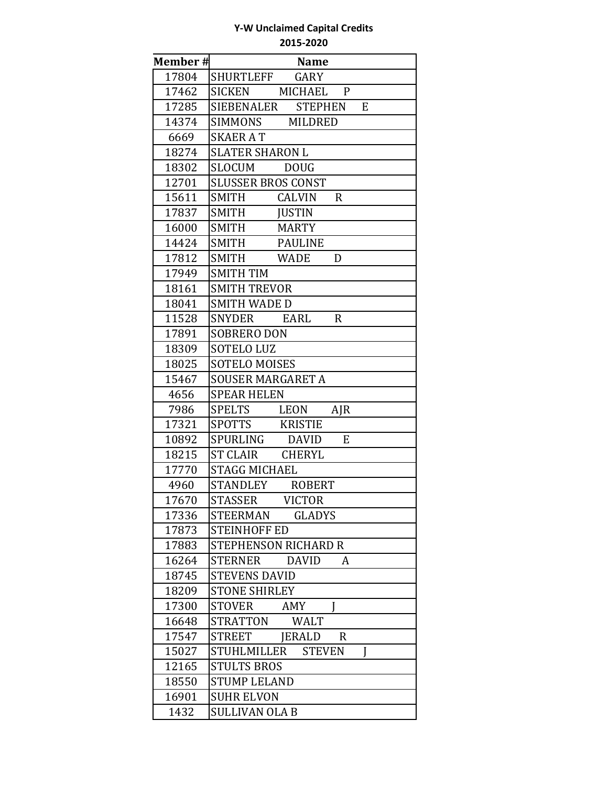| <b>Member#</b> | <b>Name</b>                                  |
|----------------|----------------------------------------------|
| 17804          | SHURTLEFF<br>GARY                            |
| 17462          | <b>SICKEN</b><br><b>MICHAEL</b><br>P         |
| 17285          | SIEBENALER<br><b>STEPHEN</b><br>E            |
| 14374          | <b>SIMMONS</b><br><b>MILDRED</b>             |
| 6669           | <b>SKAER AT</b>                              |
| 18274          | <b>SLATER SHARON L</b>                       |
| 18302          | <b>SLOCUM</b><br><b>DOUG</b>                 |
| 12701          | <b>SLUSSER BROS CONST</b>                    |
| 15611          | <b>SMITH</b><br><b>CALVIN</b><br>$\mathbf R$ |
| 17837          | SMITH<br><b>JUSTIN</b>                       |
| 16000          | <b>SMITH</b><br><b>MARTY</b>                 |
| 14424          | SMITH<br><b>PAULINE</b>                      |
| 17812          | <b>SMITH</b><br><b>WADE</b><br>D             |
| 17949          | <b>SMITH TIM</b>                             |
| 18161          | <b>SMITH TREVOR</b>                          |
| 18041          | <b>SMITH WADE D</b>                          |
| 11528          | <b>SNYDER</b><br><b>EARL</b><br>$\mathsf{R}$ |
| 17891          | <b>SOBRERO DON</b>                           |
| 18309          | <b>SOTELO LUZ</b>                            |
| 18025          | <b>SOTELO MOISES</b>                         |
| 15467          | <b>SOUSER MARGARET A</b>                     |
| 4656           | <b>SPEAR HELEN</b>                           |
| 7986           | SPELTS<br>LEON<br>$A$ J $R$                  |
| 17321          | SPOTTS<br><b>KRISTIE</b>                     |
| 10892          | SPURLING<br><b>DAVID</b><br>${\bf E}$        |
| 18215          | <b>ST CLAIR</b><br>CHERYL                    |
| 17770          | <b>STAGG MICHAEL</b>                         |
| 4960           | <b>STANDLEY</b><br><b>ROBERT</b>             |
| 17670          | <b>STASSER</b><br><b>VICTOR</b>              |
| 17336          | <b>GLADYS</b><br>STEERMAN                    |
| 17873          | <b>STEINHOFF ED</b>                          |
| 17883          | <b>STEPHENSON RICHARD R</b>                  |
| 16264          | <b>STERNER</b><br><b>DAVID</b><br>A          |
| 18745          | <b>STEVENS DAVID</b>                         |
| 18209          | <b>STONE SHIRLEY</b>                         |
| 17300          | <b>STOVER</b><br>AMY                         |
| 16648          | STRATTON<br>WALT                             |
| 17547          | STREET<br><b>JERALD</b><br>$\mathbf{R}$      |
| 15027          | STUHLMILLER STEVEN<br>I                      |
| 12165          | <b>STULTS BROS</b>                           |
| 18550          | <b>STUMP LELAND</b>                          |
| 16901          | <b>SUHR ELVON</b>                            |
| 1432           | <b>SULLIVAN OLA B</b>                        |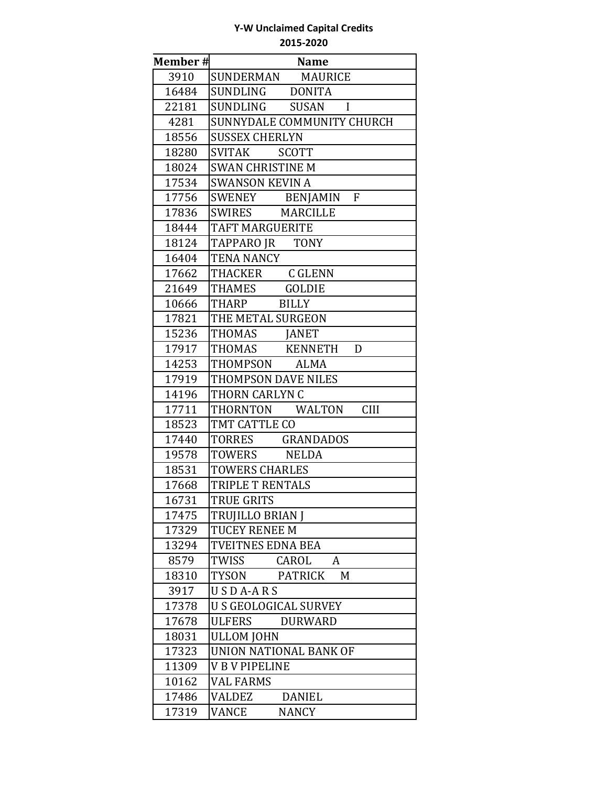| Member# | <b>Name</b>                    |
|---------|--------------------------------|
| 3910    | SUNDERMAN MAURICE              |
| 16484   | SUNDLING DONITA                |
| 22181   | SUNDLING SUSAN I               |
| 4281    | SUNNYDALE COMMUNITY CHURCH     |
| 18556   | <b>SUSSEX CHERLYN</b>          |
| 18280   | SVITAK SCOTT                   |
| 18024   | <b>SWAN CHRISTINE M</b>        |
| 17534   | <b>SWANSON KEVIN A</b>         |
| 17756   | SWENEY BENJAMIN F              |
| 17836   | SWIRES MARCILLE                |
| 18444   | TAFT MARGUERITE                |
| 18124   | TAPPARO JR TONY                |
| 16404   | <b>TENA NANCY</b>              |
| 17662   | THACKER C GLENN                |
| 21649   | THAMES GOLDIE                  |
| 10666   | THARP BILLY                    |
| 17821   | THE METAL SURGEON              |
| 15236   | THOMAS JANET                   |
| 17917   | THOMAS KENNETH<br>D            |
| 14253   | THOMPSON ALMA                  |
| 17919   | THOMPSON DAVE NILES            |
| 14196   | THORN CARLYN C                 |
| 17711   | <b>CIII</b><br>THORNTON WALTON |
| 18523   | TMT CATTLE CO                  |
| 17440   | TORRES GRANDADOS               |
| 19578   | TOWERS NELDA                   |
| 18531   | <b>TOWERS CHARLES</b>          |
| 17668   | TRIPLE T RENTALS               |
| 16731   | <b>TRUE GRITS</b>              |
| 17475   | TRUJILLO BRIAN J               |
| 17329   | TUCEY RENEE M                  |
| 13294   | <b>TVEITNES EDNA BEA</b>       |
| 8579    | TWISS<br><b>CAROL</b><br>A     |
| 18310   | TYSON<br>PATRICK<br>M          |
| 3917    | USDA-ARS                       |
| 17378   | <b>U S GEOLOGICAL SURVEY</b>   |
| 17678   | ULFERS<br><b>DURWARD</b>       |
| 18031   | <b>ULLOM JOHN</b>              |
| 17323   | <b>UNION NATIONAL BANK OF</b>  |
| 11309   | <b>VBV PIPELINE</b>            |
| 10162   | <b>VAL FARMS</b>               |
| 17486   | <b>VALDEZ</b><br><b>DANIEL</b> |
| 17319   | <b>VANCE</b><br><b>NANCY</b>   |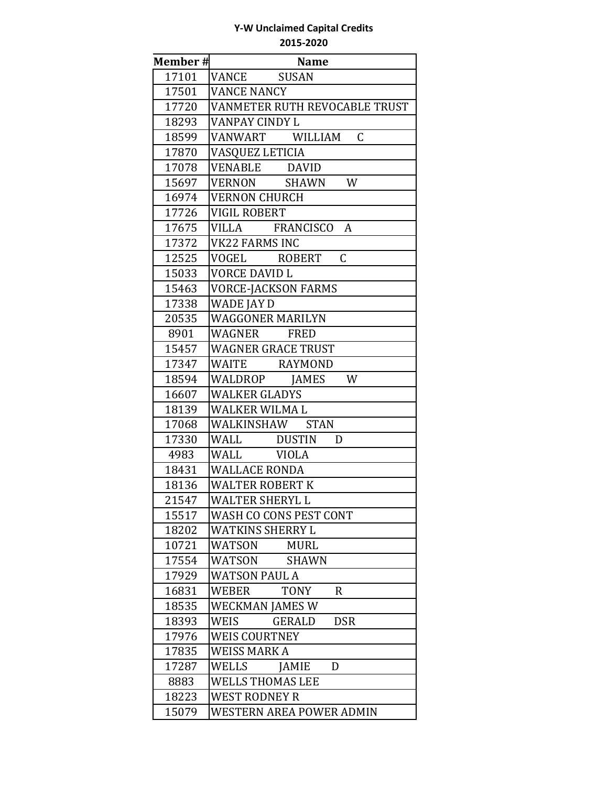| <b>Member#</b> | <b>Name</b>                          |
|----------------|--------------------------------------|
| 17101          | VANCE SUSAN                          |
| 17501          | <b>VANCE NANCY</b>                   |
| 17720          | VANMETER RUTH REVOCABLE TRUST        |
| 18293          | VANPAY CINDY L                       |
| 18599          | $\mathcal{C}$<br>VANWART WILLIAM     |
| 17870          | VASQUEZ LETICIA                      |
| 17078          | VENABLE DAVID                        |
| 15697          | VERNON SHAWN<br>W                    |
| 16974          | <b>VERNON CHURCH</b>                 |
| 17726          | <b>VIGIL ROBERT</b>                  |
| 17675          | VILLA FRANCISCO A                    |
| 17372          | <b>VK22 FARMS INC</b>                |
| 12525          | $\mathsf C$<br>VOGEL ROBERT          |
| 15033          | <b>VORCE DAVID L</b>                 |
| 15463          | <b>VORCE-JACKSON FARMS</b>           |
| 17338          | WADE JAY D                           |
| 20535          | <b>WAGGONER MARILYN</b>              |
| 8901           | WAGNER FRED                          |
| 15457          | <b>WAGNER GRACE TRUST</b>            |
| 17347          | WAITE RAYMOND                        |
| 18594          | WALDROP JAMES<br>W                   |
| 16607          | <b>WALKER GLADYS</b>                 |
| 18139          | <b>WALKER WILMA L</b>                |
| 17068          | WALKINSHAW STAN                      |
| 17330          | WALL DUSTIN<br>D                     |
| 4983           | WALL VIOLA                           |
| 18431          | <b>WALLACE RONDA</b>                 |
| 18136          | <b>WALTER ROBERT K</b>               |
| 21547          | <b>WALTER SHERYL L</b>               |
| 15517          | <b>WASH CO CONS PEST CONT</b>        |
| 18202          | <b>WATKINS SHERRY L</b>              |
| 10721          | <b>WATSON</b><br><b>MURL</b>         |
| 17554          | WATSON<br><b>SHAWN</b>               |
| 17929          | <b>WATSON PAUL A</b>                 |
| 16831          | <b>TONY</b><br>$\mathbf{R}$<br>WEBER |
| 18535          | <b>WECKMAN JAMES W</b>               |
| 18393          | WEIS<br><b>DSR</b><br>GERALD         |
| 17976          | <b>WEIS COURTNEY</b>                 |
| 17835          | <b>WEISS MARK A</b>                  |
| 17287          | <b>WELLS</b><br><b>JAMIE</b><br>D    |
| 8883           | <b>WELLS THOMAS LEE</b>              |
| 18223          | <b>WEST RODNEY R</b>                 |
| 15079          | WESTERN AREA POWER ADMIN             |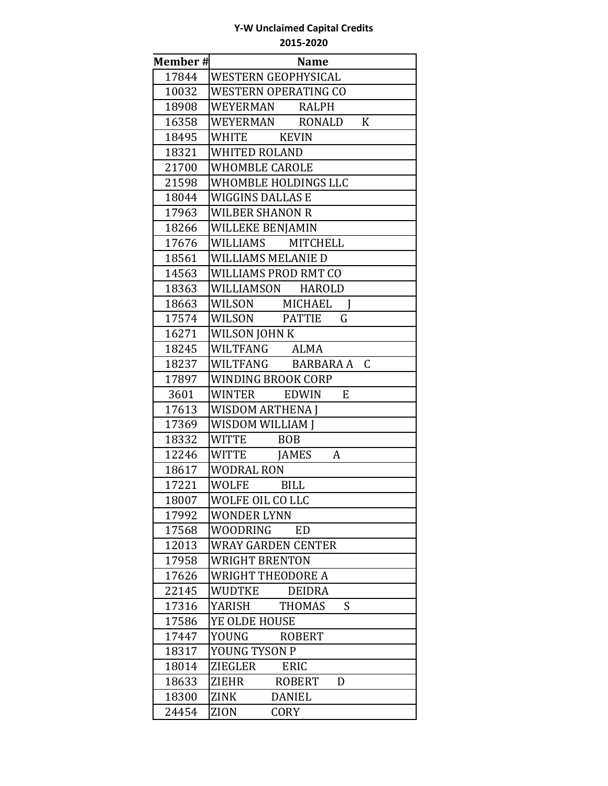| Member# | <b>Name</b>                        |
|---------|------------------------------------|
| 17844   | <b>WESTERN GEOPHYSICAL</b>         |
| 10032   | <b>WESTERN OPERATING CO</b>        |
| 18908   | WEYERMAN RALPH                     |
| 16358   | WEYERMAN RONALD K                  |
| 18495   | WHITE KEVIN                        |
| 18321   | <b>WHITED ROLAND</b>               |
| 21700   | <b>WHOMBLE CAROLE</b>              |
| 21598   | WHOMBLE HOLDINGS LLC               |
| 18044   | WIGGINS DALLAS E                   |
| 17963   | <b>WILBER SHANON R</b>             |
| 18266   | WILLEKE BENJAMIN                   |
| 17676   | WILLIAMS MITCHELL                  |
| 18561   | WILLIAMS MELANIE D                 |
| 14563   | WILLIAMS PROD RMT CO               |
| 18363   | WILLIAMSON HAROLD                  |
| 18663   | WILSON MICHAEL                     |
| 17574   | WILSON PATTIE<br>G                 |
| 16271   | WILSON JOHN K                      |
| 18245   | WILTFANG ALMA                      |
| 18237   | WILTFANG BARBARA A C               |
| 17897   | WINDING BROOK CORP                 |
| 3601    | EDWIN<br>E<br>WINTER               |
| 17613   | <b>WISDOM ARTHENA J</b>            |
| 17369   | WISDOM WILLIAM J                   |
| 18332   | WITTE BOB                          |
| 12246   | WITTE JAMES<br>A                   |
| 18617   | WODRAL RON                         |
| 17221   | WOLFE BILL                         |
| 18007   | WOLFE OIL CO LLC                   |
| 17992   | <b>WONDER LYNN</b>                 |
| 17568   | <b>WOODRING</b><br><b>ED</b>       |
| 12013   | <b>WRAY GARDEN CENTER</b>          |
| 17958   | <b>WRIGHT BRENTON</b>              |
| 17626   | <b>WRIGHT THEODORE A</b>           |
| 22145   | WUDTKE<br><b>DEIDRA</b>            |
| 17316   | YARISH<br><b>THOMAS</b><br>S       |
| 17586   | YE OLDE HOUSE                      |
| 17447   | YOUNG<br><b>ROBERT</b>             |
| 18317   | YOUNG TYSON P                      |
| 18014   | <b>ZIEGLER</b><br>ERIC             |
| 18633   | <b>ZIEHR</b><br><b>ROBERT</b><br>D |
| 18300   | ZINK<br><b>DANIEL</b>              |
| 24454   | <b>ZION</b><br><b>CORY</b>         |